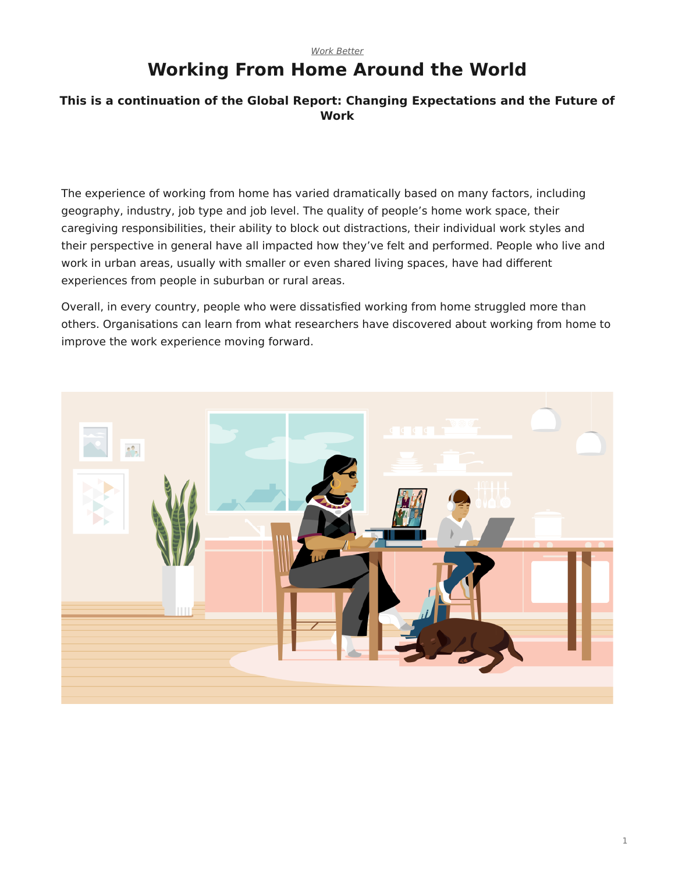### *[Work Better](https://www.steelcase.com/asia-en/research/topics/work-better/)* **Working From Home Around the World**

### **This is a continuation of the Global Report: Changing Expectations and the Future of Work**

The experience of working from home has varied dramatically based on many factors, including geography, industry, job type and job level. The quality of people's home work space, their caregiving responsibilities, their ability to block out distractions, their individual work styles and their perspective in general have all impacted how they've felt and performed. People who live and work in urban areas, usually with smaller or even shared living spaces, have had different experiences from people in suburban or rural areas.

Overall, in every country, people who were dissatisfied working from home struggled more than others. Organisations can learn from what researchers have discovered about working from home to improve the work experience moving forward.

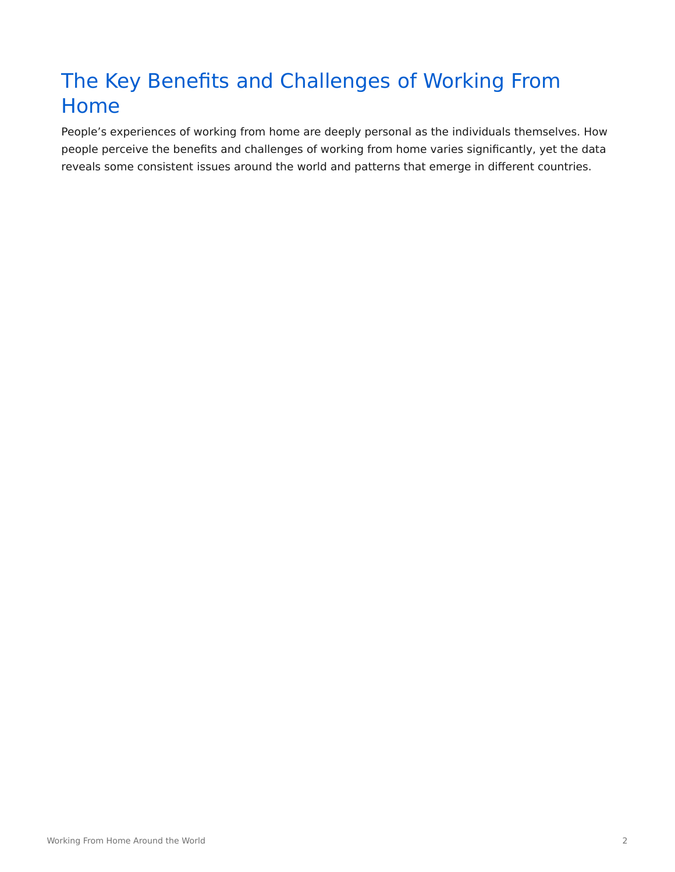# The Key Benefits and Challenges of Working From Home

People's experiences of working from home are deeply personal as the individuals themselves. How people perceive the benefits and challenges of working from home varies significantly, yet the data reveals some consistent issues around the world and patterns that emerge in different countries.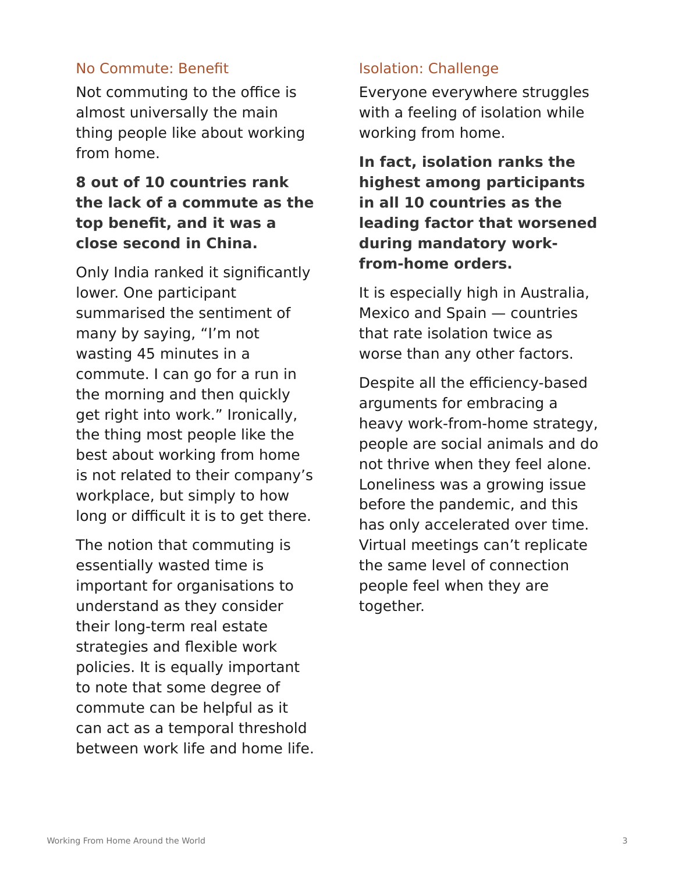### No Commute: Benefit

Not commuting to the office is almost universally the main thing people like about working from home.

# **8 out of 10 countries rank the lack of a commute as the top benefit, and it was a close second in China.**

Only India ranked it significantly lower. One participant summarised the sentiment of many by saying, "I'm not wasting 45 minutes in a commute. I can go for a run in the morning and then quickly get right into work." Ironically, the thing most people like the best about working from home is not related to their company's workplace, but simply to how long or difficult it is to get there.

The notion that commuting is essentially wasted time is important for organisations to understand as they consider their long-term real estate strategies and flexible work policies. It is equally important to note that some degree of commute can be helpful as it can act as a temporal threshold between work life and home life.

### Isolation: Challenge

Everyone everywhere struggles with a feeling of isolation while working from home.

**In fact, isolation ranks the highest among participants in all 10 countries as the leading factor that worsened during mandatory workfrom-home orders.**

It is especially high in Australia, Mexico and Spain — countries that rate isolation twice as worse than any other factors.

Despite all the efficiency-based arguments for embracing a heavy work-from-home strategy, people are social animals and do not thrive when they feel alone. Loneliness was a growing issue before the pandemic, and this has only accelerated over time. Virtual meetings can't replicate the same level of connection people feel when they are together.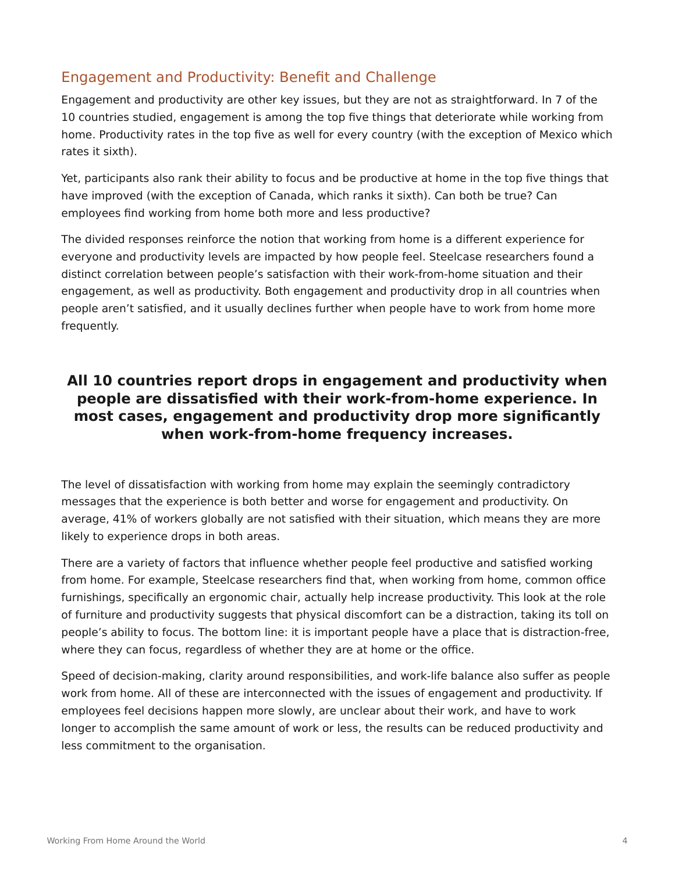# Engagement and Productivity: Benefit and Challenge

Engagement and productivity are other key issues, but they are not as straightforward. In 7 of the 10 countries studied, engagement is among the top five things that deteriorate while working from home. Productivity rates in the top five as well for every country (with the exception of Mexico which rates it sixth).

Yet, participants also rank their ability to focus and be productive at home in the top five things that have improved (with the exception of Canada, which ranks it sixth). Can both be true? Can employees find working from home both more and less productive?

The divided responses reinforce the notion that working from home is a different experience for everyone and productivity levels are impacted by how people feel. Steelcase researchers found a distinct correlation between people's satisfaction with their work-from-home situation and their engagement, as well as productivity. Both engagement and productivity drop in all countries when people aren't satisfied, and it usually declines further when people have to work from home more frequently.

# **All 10 countries report drops in engagement and productivity when people are dissatisfied with their work-from-home experience. In most cases, engagement and productivity drop more significantly when work-from-home frequency increases.**

The level of dissatisfaction with working from home may explain the seemingly contradictory messages that the experience is both better and worse for engagement and productivity. On average, 41% of workers globally are not satisfied with their situation, which means they are more likely to experience drops in both areas.

There are a variety of factors that influence whether people feel productive and satisfied working from home. For example, Steelcase researchers find that, when working from home, common office furnishings, specifically an ergonomic chair, actually help increase productivity. This look at the role of furniture and productivity suggests that physical discomfort can be a distraction, taking its toll on people's ability to focus. The bottom line: it is important people have a place that is distraction-free, where they can focus, regardless of whether they are at home or the office.

Speed of decision-making, clarity around responsibilities, and work-life balance also suffer as people work from home. All of these are interconnected with the issues of engagement and productivity. If employees feel decisions happen more slowly, are unclear about their work, and have to work longer to accomplish the same amount of work or less, the results can be reduced productivity and less commitment to the organisation.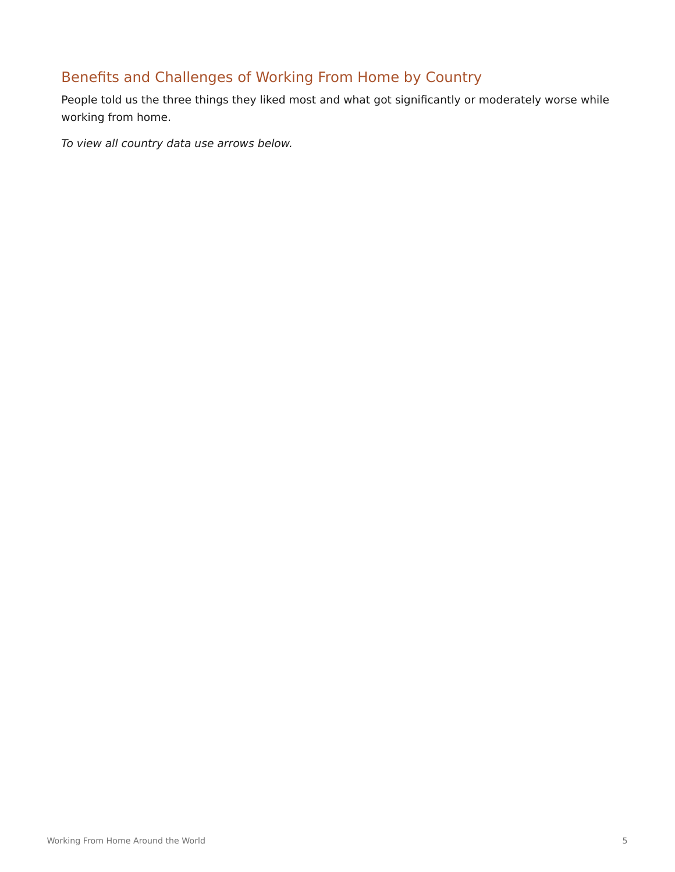# Benefits and Challenges of Working From Home by Country

People told us the three things they liked most and what got significantly or moderately worse while working from home.

*To view all country data use arrows below.*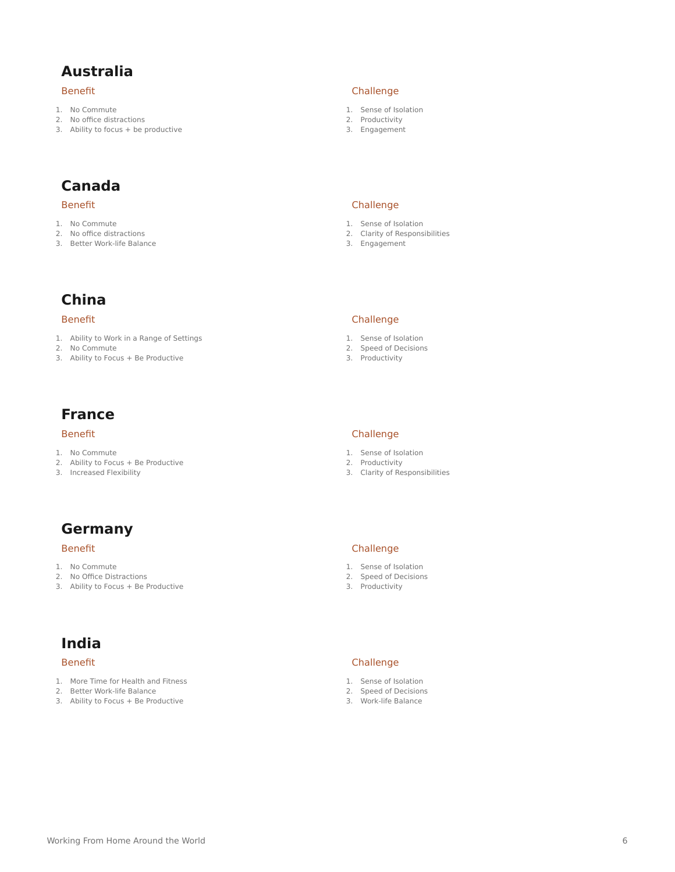### **Australia**

#### Benefit

- 1. No Commute
- 2. No office distractions
- 3. Ability to focus + be productive

# **Canada**

#### Benefit

- 1. No Commute
- 2. No office distractions
- 3. Better Work-life Balance

### **China**

#### Benefit

- 1. Ability to Work in a Range of Settings
- 2. No Commute
- 3. Ability to Focus + Be Productive

# **France**

#### Benefit

- 1. No Commute
- 2. Ability to Focus + Be Productive
- 3. Increased Flexibility

# **Germany**

#### Benefit

- 1. No Commute
- 2. No Office Distractions
- 3. Ability to Focus + Be Productive

# **India**

#### Benefit

- 1. More Time for Health and Fitness
- 2. Better Work-life Balance
- 3. Ability to Focus + Be Productive

#### Challenge

- 1. Sense of Isolation
- 2. Productivity
- 3. Engagement

#### Challenge

- 1. Sense of Isolation
- 2. Clarity of Responsibilities
- 3. Engagement

#### Challenge

- 1. Sense of Isolation
- 2. Speed of Decisions
- 3. Productivity

- 1. Sense of Isolation
- 2. Productivity
- 3. Clarity of Responsibilities

#### Challenge

- 1. Sense of Isolation
- 2. Speed of Decisions
- 3. Productivity

#### Challenge

- 1. Sense of Isolation
- 2. Speed of Decisions
- 3. Work-life Balance

### Challenge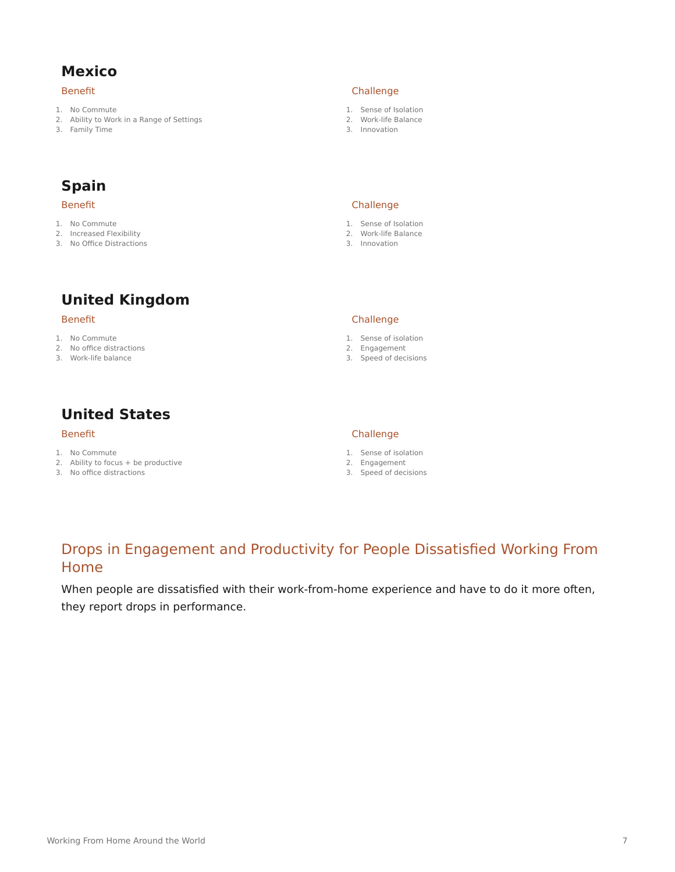# **Mexico**

#### Benefit

- 1. No Commute
- 2. Ability to Work in a Range of Settings
- 3. Family Time

#### Challenge

- 1. Sense of Isolation
- 2. Work-life Balance
- 3. Innovation

# **Spain**

#### Benefit

- 1. No Commute
- 2. Increased Flexibility
- 3. No Office Distractions

# **United Kingdom**

#### Benefit

- 1. No Commute
- 2. No office distractions
- 3. Work-life balance

# **United States**

### Benefit

- 1. No Commute
- 2. Ability to focus + be productive
- 3. No office distractions

Challenge 1. Sense of Isolation 2. Work-life Balance 3. Innovation

#### Challenge

- 1. Sense of isolation
- 2. Engagement
- 3. Speed of decisions

#### Challenge

- 1. Sense of isolation
- 2. Engagement
- 3. Speed of decisions

### Drops in Engagement and Productivity for People Dissatisfied Working From Home

When people are dissatisfied with their work-from-home experience and have to do it more often, they report drops in performance.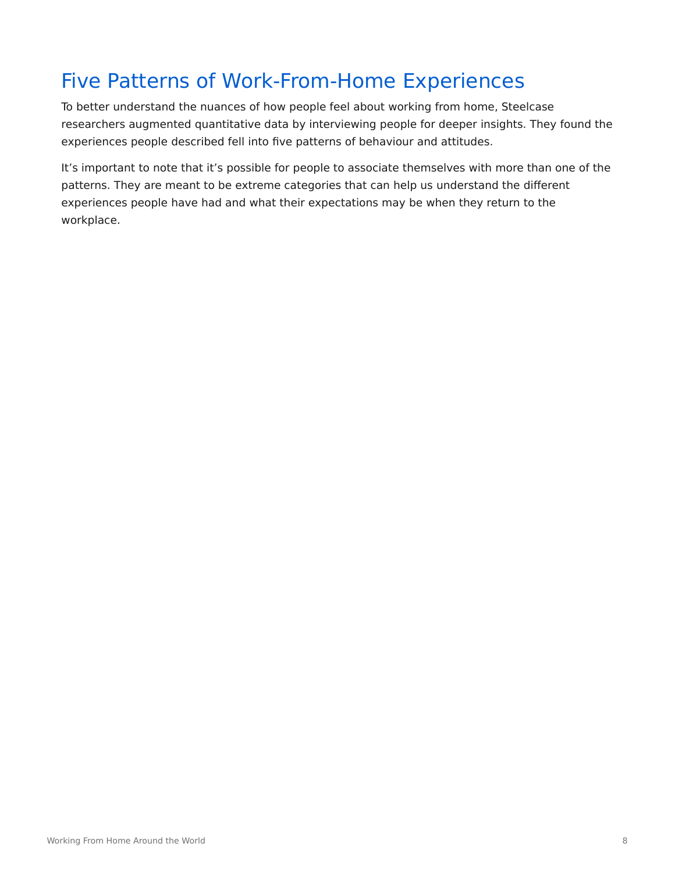# Five Patterns of Work-From-Home Experiences

To better understand the nuances of how people feel about working from home, Steelcase researchers augmented quantitative data by interviewing people for deeper insights. They found the experiences people described fell into five patterns of behaviour and attitudes.

It's important to note that it's possible for people to associate themselves with more than one of the patterns. They are meant to be extreme categories that can help us understand the different experiences people have had and what their expectations may be when they return to the workplace.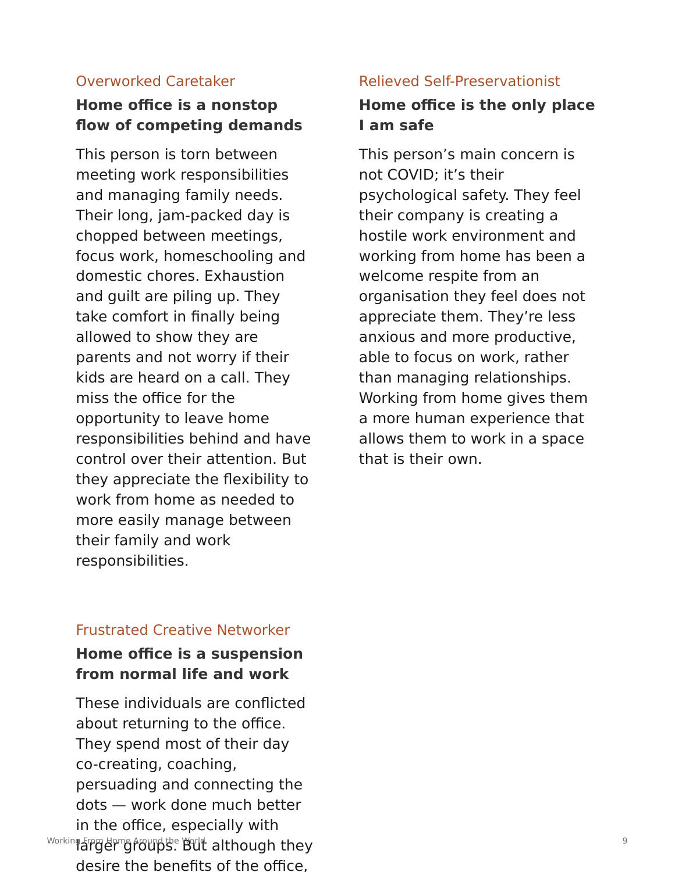### Overworked Caretaker

# **Home office is a nonstop flow of competing demands**

This person is torn between meeting work responsibilities and managing family needs. Their long, jam-packed day is chopped between meetings, focus work, homeschooling and domestic chores. Exhaustion and guilt are piling up. They take comfort in finally being allowed to show they are parents and not worry if their kids are heard on a call. They miss the office for the opportunity to leave home responsibilities behind and have control over their attention. But they appreciate the flexibility to work from home as needed to more easily manage between their family and work responsibilities.

### Relieved Self-Preservationist

# **Home office is the only place I am safe**

This person's main concern is not COVID; it's their psychological safety. They feel their company is creating a hostile work environment and working from home has been a welcome respite from an organisation they feel does not appreciate them. They're less anxious and more productive, able to focus on work, rather than managing relationships. Working from home gives them a more human experience that allows them to work in a space that is their own.

### Frustrated Creative Networker

# **Home office is a suspension from normal life and work**

These individuals are conflicted about returning to the office. They spend most of their day co-creating, coaching, persuading and connecting the dots — work done much better in the office, especially with  $\frac{1}{2}$ <sup>Morking From Home Around the World although they see the contract of  $\frac{9}{2}$ </sup> desire the benefits of the office,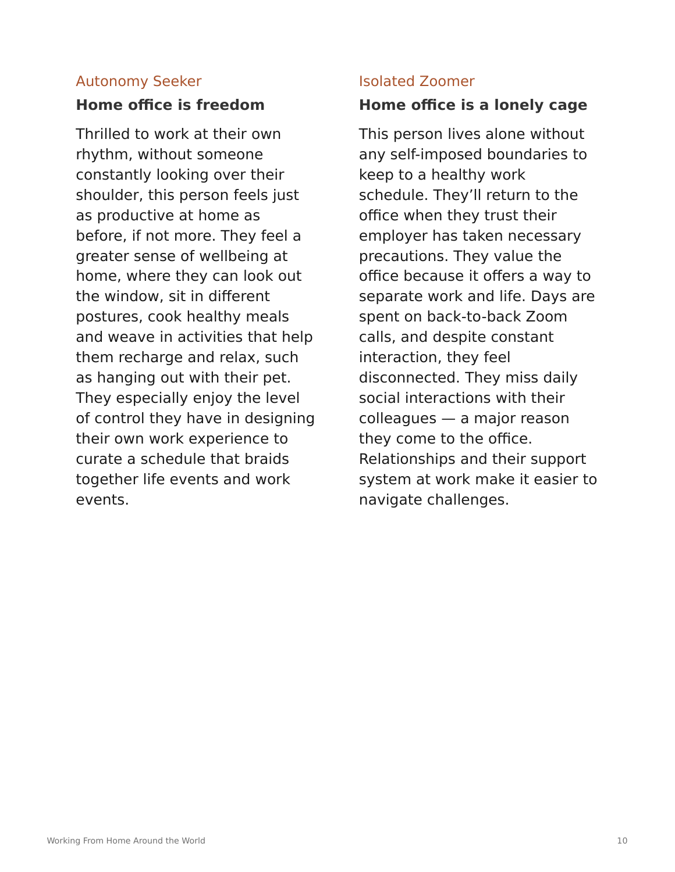# Autonomy Seeker

# **Home office is freedom**

Thrilled to work at their own rhythm, without someone constantly looking over their shoulder, this person feels just as productive at home as before, if not more. They feel a greater sense of wellbeing at home, where they can look out the window, sit in different postures, cook healthy meals and weave in activities that help them recharge and relax, such as hanging out with their pet. They especially enjoy the level of control they have in designing their own work experience to curate a schedule that braids together life events and work events.

## Isolated Zoomer

# **Home office is a lonely cage**

This person lives alone without any self-imposed boundaries to keep to a healthy work schedule. They'll return to the office when they trust their employer has taken necessary precautions. They value the office because it offers a way to separate work and life. Days are spent on back-to-back Zoom calls, and despite constant interaction, they feel disconnected. They miss daily social interactions with their colleagues — a major reason they come to the office. Relationships and their support system at work make it easier to navigate challenges.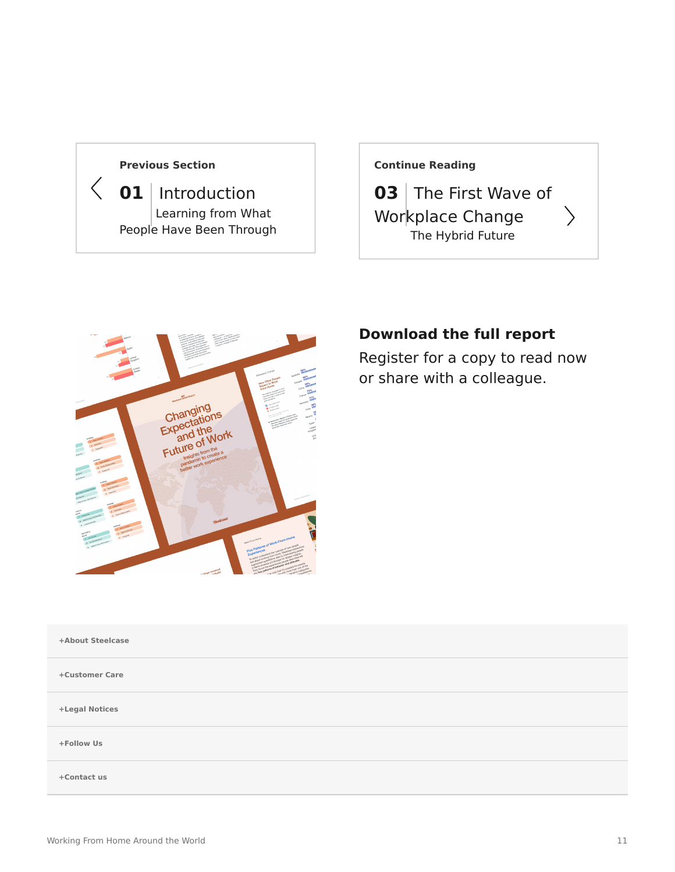### **[Previous Section](https://www.steelcase.com/asia-en/research/articles/changing-expectations-future-work/)**

 $\langle$ 

**01** [Introduction](https://www.steelcase.com/asia-en/research/articles/changing-expectations-future-work/) [Learning from What](https://www.steelcase.com/asia-en/research/articles/changing-expectations-future-work/) [People Have Been Through](https://www.steelcase.com/asia-en/research/articles/changing-expectations-future-work/)

### **[Continue Reading](https://www.steelcase.com/asia-en/research/articles/first-wave-workplace-change/)**

**03** [The First Wave of](https://www.steelcase.com/asia-en/research/articles/first-wave-workplace-change/) [Workplace Change](https://www.steelcase.com/asia-en/research/articles/first-wave-workplace-change/) [The Hybrid Future](https://www.steelcase.com/asia-en/research/articles/first-wave-workplace-change/)



# **Download the full report**

Register for a copy to read now or share with a colleague.

| +About Steelcase |  |
|------------------|--|
| +Customer Care   |  |
| +Legal Notices   |  |
| +Follow Us       |  |
| +Contact us      |  |
|                  |  |